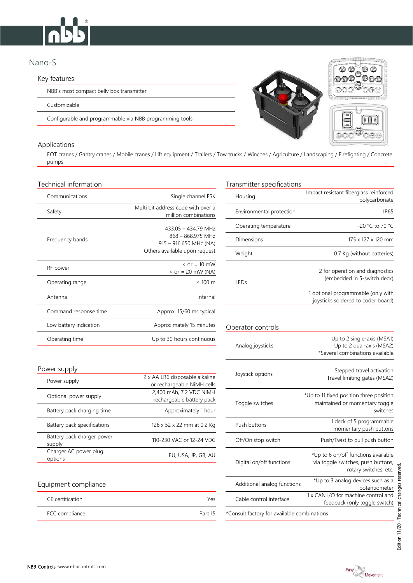# Nano-S

## Key features

NBB's most compact belly box transmitter

Customizable

Configurable and programmable via NBB programming tools

## Applications

EOT cranes / Gantry cranes / Mobile cranes / Lift equipment / Trailers / Tow trucks / Winches / Agriculture / Landscaping / Firefighting / Concrete pumps

| Communications         | Single channel FSK                                                                                    | Housing                  | Impact resistant fiberglass reinforced<br>polycarbonate                  |
|------------------------|-------------------------------------------------------------------------------------------------------|--------------------------|--------------------------------------------------------------------------|
| Safety                 | Multi bit address code with over a<br>million combinations                                            | Environmental protection | IP <sub>65</sub>                                                         |
| Frequency bands        | 433.05 - 434.79 MHz<br>868 - 868.975 MHz<br>$915 - 916.650$ MHz (NA)<br>Others available upon request | Operating temperature    | -20 °C to 70 °C                                                          |
|                        |                                                                                                       | <b>Dimensions</b>        | 175 x 127 x 120 mm                                                       |
|                        |                                                                                                       | Weight                   | 0.7 Kg (without batteries)                                               |
| RF power               | $\epsilon$ or = 10 mW<br>$\epsilon$ or = 20 mW (NA)                                                   | LEDs                     | 2 for operation and diagnostics<br>(embedded in 5-switch deck)           |
| Operating range        | $\leq 100$ m                                                                                          |                          |                                                                          |
| Antenna                | Internal                                                                                              |                          | 1 optional programmable (only with<br>joysticks soldered to coder board) |
| Command response time  | Approx. 15/60 ms typical                                                                              |                          |                                                                          |
| Low battery indication | Approximately 15 minutes                                                                              | Operator controls        |                                                                          |
| Operating time         | Up to 30 hours continuous                                                                             | Analog jovsticks         | Up to 2 single-axis (MSA1)<br>Up to 2 dual-axis (MSA2)                   |

## Power supply

| Power supply                         | 2 x AA LR6 disposable alkaline<br>or rechargeable NiMH cells | JOYSLICK OPHOLIS         | Travel limiting gates (MSA2)                                              |
|--------------------------------------|--------------------------------------------------------------|--------------------------|---------------------------------------------------------------------------|
| Optional power supply                | 2,400 mAh, 7.2 VDC NiMH<br>rechargeable battery pack         | Toggle switches          | *Up to 11 fixed position three position<br>maintained or momentary toggle |
| Battery pack charging time           | Approximately 1 hour                                         |                          | switches                                                                  |
| Battery pack specifications          | 126 x 52 x 22 mm at 0.2 Kg                                   | Push buttons             | 1 deck of 5 programmable<br>momentary push buttons                        |
| Battery pack charger power<br>supply | 110-230 VAC or 12-24 VDC                                     | Off/On stop switch       | Push/Twist to pull push buttor                                            |
| Charger AC power plug<br>options     | EU, USA, JP, GB, AU                                          | Digital on/off functions | *Up to 6 on/off functions available<br>via togale switches puch buttons   |

# Equipment compliance  $\overline{A}$  analog functions  $\overline{A}$   $\overline{A}$   $\overline{A}$   $\overline{A}$   $\overline{A}$   $\overline{A}$   $\overline{A}$   $\overline{A}$   $\overline{A}$   $\overline{A}$   $\overline{A}$   $\overline{A}$   $\overline{A}$   $\overline{A}$   $\overline{A}$   $\overline{A}$   $\overline{A}$   $\overline{A}$   $\overline{A}$   $\overline$

| CE certification | Yρς     |
|------------------|---------|
| FCC compliance   | Part 15 |

# Technical information Technical information Technical information

Digital on/off functions

\*Consult factory for available combinations

| miicai iniomiauon.                              |                                                                                                       | transmitter specifications |                                                                                           |
|-------------------------------------------------|-------------------------------------------------------------------------------------------------------|----------------------------|-------------------------------------------------------------------------------------------|
| Communications                                  | Single channel FSK                                                                                    | Housing                    | Impact resistant fiberglass reinforced<br>polycarbonate                                   |
| Safety                                          | Multi bit address code with over a<br>million combinations                                            | Environmental protection   | IP <sub>65</sub>                                                                          |
| Frequency bands                                 | 433.05 - 434.79 MHz<br>868 - 868.975 MHz<br>$915 - 916.650$ MHz (NA)<br>Others available upon request | Operating temperature      | -20 °C to 70 °C                                                                           |
|                                                 |                                                                                                       | Dimensions                 | 175 x 127 x 120 mm                                                                        |
|                                                 |                                                                                                       | Weight                     | 0.7 Kg (without batteries)                                                                |
| RF power                                        | $\epsilon$ or = 10 mW<br>$<$ or = 20 mW (NA)                                                          | LEDs                       | 2 for operation and diagnostics<br>(embedded in 5-switch deck)                            |
| Operating range                                 | $\leq 100$ m                                                                                          |                            |                                                                                           |
| Antenna                                         | Internal                                                                                              |                            | 1 optional programmable (only with<br>joysticks soldered to coder board)                  |
| Command response time                           | Approx. 15/60 ms typical                                                                              |                            |                                                                                           |
| Low battery indication                          | Approximately 15 minutes                                                                              | Operator controls          |                                                                                           |
| Operating time                                  | Up to 30 hours continuous                                                                             | Analog joysticks           | Up to 2 single-axis (MSA1)<br>Up to 2 dual-axis (MSA2)<br>*Several combinations available |
| ver supply                                      |                                                                                                       |                            | Stepped travel activation                                                                 |
| Power supply                                    | 2 x AA LR6 disposable alkaline<br>or rechargeable NiMH cells                                          | Joystick options           | Travel limiting gates (MSA2)                                                              |
| Optional power supply                           | 2,400 mAh, 7.2 VDC NiMH<br>rechargeable battery pack                                                  | Toggle switches            | *Up to 11 fixed position three position<br>maintained or momentary toggle<br>switches     |
| Battery pack charging time                      | Approximately 1 hour                                                                                  |                            |                                                                                           |
| Battery pack specifications                     | 126 x 52 x 22 mm at 0.2 Kg                                                                            | Push buttons               | 1 deck of 5 programmable<br>momentary push buttons                                        |
| Battery pack charger power<br>$\sim$ unn $\sim$ | 110-230 VAC or 12-24 VDC                                                                              | Off/On stop switch         | Push/Twist to pull push button                                                            |

Cable control interface  $\frac{1 \times \text{CAN I/O}}{1 \times \text{MAN I/O}}$  for machine control and





\*Up to 6 on/off functions available via toggle switches, push buttons,

feedback (only toggle switch)

rotary switches, etc.

potentiometer